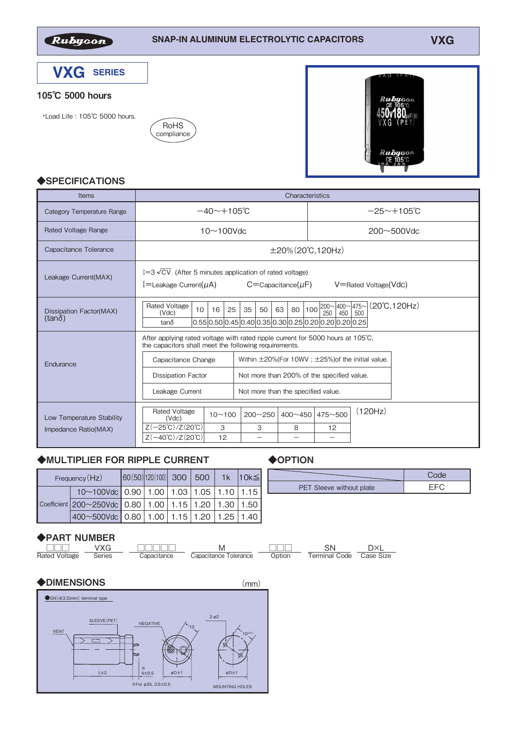

## 105℃ 5000 hours

・Load Life : 105℃ 5000 hours.





#### ◆**SPECIFICATIONS**

| <b>Items</b>                             | Characteristics                                                                                                                                                                                                                                             |
|------------------------------------------|-------------------------------------------------------------------------------------------------------------------------------------------------------------------------------------------------------------------------------------------------------------|
| <b>Category Temperature Range</b>        | $-40 \sim +105$ °C<br>$-25 \sim +105$ °C                                                                                                                                                                                                                    |
| <b>Rated Voltage Range</b>               | $10 \sim 100$ Vdc<br>$200 \sim 500$ Vdc                                                                                                                                                                                                                     |
| Capacitance Tolerance                    | $\pm 20\%$ (20°C, 120Hz)                                                                                                                                                                                                                                    |
| Leakage Current(MAX)                     | I=3 $\sqrt{CV}$ (After 5 minutes application of rated voltage)<br>$C =$ Capacitance $(\mu F)$<br>V=Rated Voltage(Vdc)<br>I=Leakage Current( $\mu$ A)                                                                                                        |
| Dissipation Factor(MAX)<br>$(tan\delta)$ | $(20^{\circ}C, 120Hz)$<br><b>Rated Voltage</b><br>$100^{200 \times 400 \times 475 \times 1}$<br>35<br>80<br>25<br>63<br>10 <sup>°</sup><br>16<br>50<br>250<br>450<br>(Vdc)<br>500<br>0.55 0.50 0.45 0.40 0.35 0.30 0.25 0.20 0.20 0.20 0.25<br>tan $\delta$ |
|                                          | After applying rated voltage with rated ripple current for 5000 hours at 105°C.<br>the capacitors shall meet the following requirements.                                                                                                                    |
| Endurance                                | Within ±20%(For 10WV; ±25%) of the initial value.<br>Capacitance Change                                                                                                                                                                                     |
|                                          | Not more than 200% of the specified value.<br><b>Dissipation Factor</b>                                                                                                                                                                                     |
|                                          | Not more than the specified value.<br>Leakage Current                                                                                                                                                                                                       |
| Low Temperature Stability                | (120Hz)<br><b>Rated Voltage</b><br>$475 - 500$<br>$10 - 100$<br>$200 - 250$<br>$400 \sim 450$<br>(Vdc)                                                                                                                                                      |
| Impedance Ratio(MAX)                     | $Z(-25^{\circ}C)/Z(20^{\circ}C)$<br>3<br>3<br>8<br>12                                                                                                                                                                                                       |
|                                          | $Z(-40^{\circ}C)/Z(20^{\circ}C)$<br>12<br>$\overline{\phantom{0}}$<br>$\overline{\phantom{0}}$                                                                                                                                                              |

## ◆MULTIPLIER FOR RIPPLE CURRENT ◆ OPTION

| Frequency (Hz)                                       | $ 60(50) 120(100) $ 300 500 |  |  | 1k 10k≦ |
|------------------------------------------------------|-----------------------------|--|--|---------|
| $10~100$ Vdc 0.90 1.00 1.03 1.05 1.10 1.15           |                             |  |  |         |
| Coefficient 200~250Vdc 0.80 1.00 1.15 1.20 1.30 1.50 |                             |  |  |         |
| 400~500Vdc 0.80   1.00   1.15   1.20   1.25   1.40   |                             |  |  |         |

#### ◆PART NUMBER

|               | VXG    |             |                       |        | SΝ            |           |
|---------------|--------|-------------|-----------------------|--------|---------------|-----------|
| Rated Voltage | Series | Capacitance | Capacitance Tolerance | Option | Terminal Code | Case Size |

### ◆DIMENSIONS (mm)



L

| PET Sleeve without plate |  |
|--------------------------|--|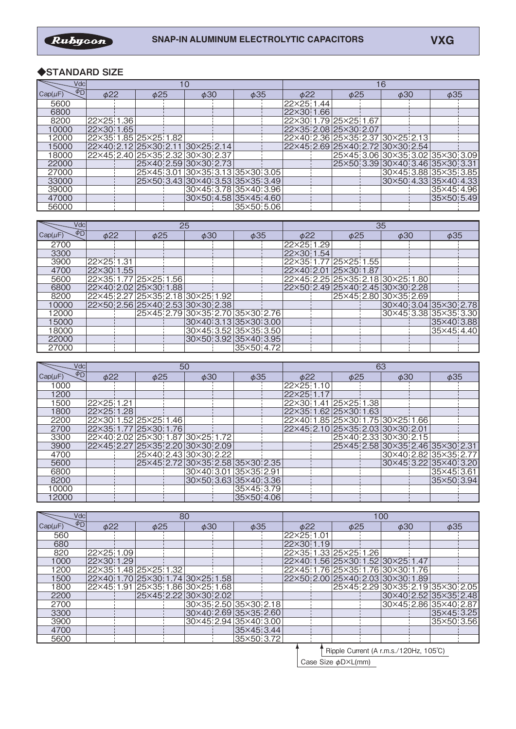# ◆**STANDARD SIZE**

| Vdcl                           |                                       |  |           |  |                                  |           |            |           |            |           |                                  |  |                                  |  |            |  |  |
|--------------------------------|---------------------------------------|--|-----------|--|----------------------------------|-----------|------------|-----------|------------|-----------|----------------------------------|--|----------------------------------|--|------------|--|--|
| $\phi_{\rm D}$<br>$Cap(\mu F)$ | $\phi$ 22                             |  | $\phi$ 25 |  |                                  | $\phi$ 30 |            | $\phi$ 35 |            | $\phi$ 22 | $\phi$ 25                        |  | $\phi$ 30                        |  | $\phi$ 35  |  |  |
| 5600                           |                                       |  |           |  |                                  |           |            |           | 22×25 1.44 |           |                                  |  |                                  |  |            |  |  |
| 6800                           |                                       |  |           |  |                                  |           |            |           | 22×30 1.66 |           |                                  |  |                                  |  |            |  |  |
| 8200                           | 22×25 1.36                            |  |           |  |                                  |           |            |           |            |           | 22×30 1.79 25×25 1.67            |  |                                  |  |            |  |  |
| 10000                          | 22×3011.65                            |  |           |  |                                  |           |            |           |            |           | 22×35 2.08 25×30 2.07            |  |                                  |  |            |  |  |
| 12000                          | 22×35 1.85 25×25 1.82                 |  |           |  |                                  |           |            |           |            |           | 22×40 2.36 25×35 2.37 30×25 2.13 |  |                                  |  |            |  |  |
| 15000                          | 22×40 2.12 25×30 2.11 30×25 2.14      |  |           |  |                                  |           |            |           |            |           | 22×45 2.69 25×40 2.72 30×30 2.54 |  |                                  |  |            |  |  |
| 18000                          | 22×45  2.40  25×35  2.32  30×30  2.37 |  |           |  |                                  |           |            |           |            |           | 25×45 3.06 30×35 3.02 35×30 3.09 |  |                                  |  |            |  |  |
| 22000                          |                                       |  |           |  | 25×40 2.59 30×30 2.73            |           |            |           |            |           |                                  |  | 25×50 3.39 30×40 3.46 35×30 3.31 |  |            |  |  |
| 27000                          |                                       |  |           |  | 25×45 3.01 30×35 3.13 35×30 3.05 |           |            |           |            |           |                                  |  | 30×45 3.88 35×35 3.85            |  |            |  |  |
| 33000                          |                                       |  |           |  | 25×50 3.43 30×40 3.53 35×35 3.49 |           |            |           |            |           |                                  |  | 30×50 4.33 35×40 4.33            |  |            |  |  |
| 39000                          |                                       |  |           |  | 30×45 3.78 35×40 3.96            |           |            |           |            |           |                                  |  |                                  |  | 35×45 4.96 |  |  |
| 47000                          |                                       |  |           |  | 30×50 4.58 35×45 4.60            |           |            |           |            |           |                                  |  |                                  |  | 35×50 5.49 |  |  |
| 56000                          |                                       |  |           |  |                                  |           | 35×50 5.06 |           |            |           |                                  |  |                                  |  |            |  |  |

| Vdcl                     |            | 25                               |                                  |            | 35                    |                                  |           |                       |  |  |  |  |
|--------------------------|------------|----------------------------------|----------------------------------|------------|-----------------------|----------------------------------|-----------|-----------------------|--|--|--|--|
| $\phi$ D<br>$Cap(\mu F)$ | $\phi$ 22  | $\phi$ 25                        | $\phi$ 30                        | $\phi$ 35  | $\phi$ 22             | $\phi$ 25                        | $\phi$ 30 | $\phi$ 35             |  |  |  |  |
| 2700                     |            |                                  |                                  |            | 22×25 1.29            |                                  |           |                       |  |  |  |  |
| 3300                     |            |                                  |                                  |            | 22×30 1.54            |                                  |           |                       |  |  |  |  |
| 3900                     | 22×25 1.31 |                                  |                                  |            |                       | 22×35 1.77 25×25 1.55            |           |                       |  |  |  |  |
| 4700                     | 22×30 1.55 |                                  |                                  |            | 22×40 2.01 25×30 1.87 |                                  |           |                       |  |  |  |  |
| 5600                     |            | 22×35 1.77 25×25 1.56            |                                  |            |                       | 22×45 2.25 25×35 2.18 30×25 1.80 |           |                       |  |  |  |  |
| 6800                     |            | 22×40 2.02 25×30 1.88            |                                  |            |                       | 22×50 2.49 25×40 2.45 30×30 2.28 |           |                       |  |  |  |  |
| 8200                     |            | 22×45 2.27 25×35 2.18 30×25 1.92 |                                  |            |                       | 25×45 2.80 30×35 2.69            |           |                       |  |  |  |  |
| 10000                    |            | 22×50 2.56 25×40 2.53 30×30 2.38 |                                  |            |                       |                                  |           | 30×40 3.04 35×30 2.78 |  |  |  |  |
| 12000                    |            |                                  | 25×45 2.79 30×35 2.70 35×30 2.76 |            |                       |                                  |           | 30×45 3.38 35×35 3.30 |  |  |  |  |
| 15000                    |            |                                  | 30×40 3.13 35×30 3.00            |            |                       |                                  |           | 35×40 3.88            |  |  |  |  |
| 18000                    |            |                                  | 30×45 3.52 35×35 3.50            |            |                       |                                  |           | 35×45 4.40            |  |  |  |  |
| 22000                    |            |                                  | 30×50 3.92 35×40 3.95            |            |                       |                                  |           |                       |  |  |  |  |
| 27000                    |            |                                  |                                  | 35×50 4.72 |                       |                                  |           |                       |  |  |  |  |

| Vdcl                                |                                  | 50 |           |  |                                  |           |                       |           |                                  |           | 63                    |  |                                  |  |                       |  |  |
|-------------------------------------|----------------------------------|----|-----------|--|----------------------------------|-----------|-----------------------|-----------|----------------------------------|-----------|-----------------------|--|----------------------------------|--|-----------------------|--|--|
| $\phi$ <sub>D</sub><br>$Cap(\mu F)$ | $\phi$ 22                        |    | $\phi$ 25 |  |                                  | $\phi$ 30 |                       | $\phi$ 35 |                                  | $\phi$ 22 | $\phi$ 25             |  | $\phi$ 30                        |  | $\phi$ 35             |  |  |
| 1000                                |                                  |    |           |  |                                  |           |                       |           | 22×25 1.10                       |           |                       |  |                                  |  |                       |  |  |
| 1200                                |                                  |    |           |  |                                  |           |                       |           | 22×25 1.17                       |           |                       |  |                                  |  |                       |  |  |
| 1500                                | 22×25 1.21                       |    |           |  |                                  |           |                       |           |                                  |           | 22×30 1.41 25×25 1.38 |  |                                  |  |                       |  |  |
| 1800                                | 22×25 1.28                       |    |           |  |                                  |           |                       |           | 22×35 1.62 25×30 1.63            |           |                       |  |                                  |  |                       |  |  |
| 2200                                | 22×30 1.52 25×25 1.46            |    |           |  |                                  |           |                       |           |                                  |           |                       |  | 22×40 1.85 25×30 1.75 30×25 1.66 |  |                       |  |  |
| 2700                                | 22×35; 1.77 25×30; 1.76          |    |           |  |                                  |           |                       |           | 22×45 2.10 25×35 2.03 30×30 2.01 |           |                       |  |                                  |  |                       |  |  |
| 3300                                | 22×40 2.02 25×30 1.87 30×25 1.72 |    |           |  |                                  |           |                       |           |                                  |           |                       |  | 25×40 2.33 30×30 2.15            |  |                       |  |  |
| 3900                                | 22×45 2.27 25×35 2.20 30×30 2.09 |    |           |  |                                  |           |                       |           |                                  |           |                       |  | 25×45 2.58 30×35 2.46 35×30 2.31 |  |                       |  |  |
| 4700                                |                                  |    |           |  | 25×40 2.43 30×30 2.22            |           |                       |           |                                  |           |                       |  |                                  |  | 30×40 2.82 35×35 2.77 |  |  |
| 5600                                |                                  |    |           |  | 25×45 2.72 30×35 2.58 35×30 2.35 |           |                       |           |                                  |           |                       |  |                                  |  | 30×45 3.22 35×40 3.20 |  |  |
| 6800                                |                                  |    |           |  |                                  |           | 30×40 3.01 35×35 2.91 |           |                                  |           |                       |  |                                  |  | 35×45 3.61            |  |  |
| 8200                                |                                  |    |           |  |                                  |           | 30×50 3.63 35×40 3.36 |           |                                  |           |                       |  |                                  |  | 35×50 3.94            |  |  |
| 10000                               |                                  |    |           |  |                                  |           | 35×45 3.79            |           |                                  |           |                       |  |                                  |  |                       |  |  |
| 12000                               |                                  |    |           |  |                                  |           | 35×50 4.06            |           |                                  |           |                       |  |                                  |  |                       |  |  |

| Vdcl                           |                                  |                       | 80 |           |                       |           | 100        |           |                                  |           |           |  |                       |  |
|--------------------------------|----------------------------------|-----------------------|----|-----------|-----------------------|-----------|------------|-----------|----------------------------------|-----------|-----------|--|-----------------------|--|
| $\phi_{\rm D}$<br>$Cap(\mu F)$ | $\phi$ 22                        | $\phi$ 25             |    | $\phi$ 30 |                       | $\phi$ 35 |            | $\phi$ 22 |                                  | $\phi$ 25 | $\phi$ 30 |  | $\phi$ 35             |  |
| 560                            |                                  |                       |    |           |                       |           | 22×25 1.01 |           |                                  |           |           |  |                       |  |
| 680                            |                                  |                       |    |           |                       |           | 22×30 1.19 |           |                                  |           |           |  |                       |  |
| 820                            | 22×25 1.09                       |                       |    |           |                       |           |            |           | 22×35 1.33 25×25 1.26            |           |           |  |                       |  |
| 1000                           | 22×30 1.29                       |                       |    |           |                       |           |            |           | 22×40 1.56 25×30 1.52 30×25 1.47 |           |           |  |                       |  |
| 1200                           | 22×35 1.48 25×25 1.32            |                       |    |           |                       |           |            |           | 22×45 1.76 25×35 1.76 30×30 1.76 |           |           |  |                       |  |
| 1500                           | 22×40 1.70 25×30 1.74 30×25 1.58 |                       |    |           |                       |           |            |           | 22×50 2.00 25×40 2.03 30×30 1.89 |           |           |  |                       |  |
| 1800                           | 22×45 1.91 25×35 1.86 30×25 1.68 |                       |    |           |                       |           |            |           | 25×45 2.29 30×35 2.19 35×30 2.05 |           |           |  |                       |  |
| 2200                           |                                  | 25×45 2.22 30×30 2.02 |    |           |                       |           |            |           |                                  |           |           |  | 30×40 2.52 35×35 2.48 |  |
| 2700                           |                                  |                       |    |           | 30×35 2.50 35×30 2.18 |           |            |           |                                  |           |           |  | 30×45 2.86 35×40 2.87 |  |
| 3300                           |                                  |                       |    |           | 30×4012.69 35×3512.60 |           |            |           |                                  |           |           |  | 35×45 3.25            |  |
| 3900                           |                                  |                       |    |           | 30×45 2.94 35×40 3.00 |           |            |           |                                  |           |           |  | 35×50 3.56            |  |
| 4700                           |                                  |                       |    |           | 35×45 3.44            |           |            |           |                                  |           |           |  |                       |  |
| 5600                           |                                  |                       |    |           | 35×50 3.72            |           |            |           |                                  |           |           |  |                       |  |

Ripple Current (A r.m.s./120Hz, 105℃)

 $\cos$  Size  $\phi$ D $\times$ L(mm)